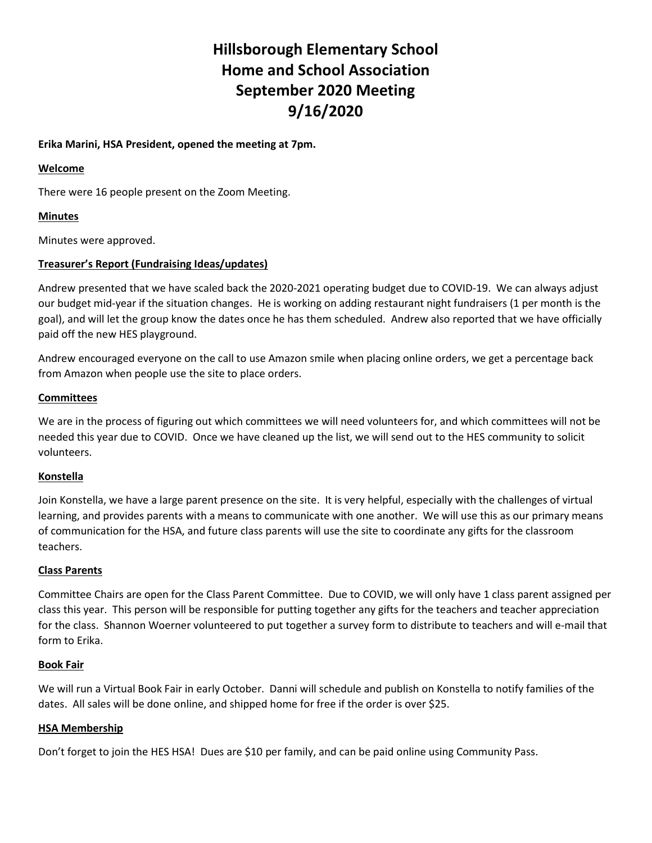# Hillsborough Elementary School Home and School Association September 2020 Meeting 9/16/2020

## Erika Marini, HSA President, opened the meeting at 7pm.

#### Welcome

There were 16 people present on the Zoom Meeting.

# Minutes

Minutes were approved.

# Treasurer's Report (Fundraising Ideas/updates)

Andrew presented that we have scaled back the 2020-2021 operating budget due to COVID-19. We can always adjust our budget mid-year if the situation changes. He is working on adding restaurant night fundraisers (1 per month is the goal), and will let the group know the dates once he has them scheduled. Andrew also reported that we have officially paid off the new HES playground.

Andrew encouraged everyone on the call to use Amazon smile when placing online orders, we get a percentage back from Amazon when people use the site to place orders.

## **Committees**

We are in the process of figuring out which committees we will need volunteers for, and which committees will not be needed this year due to COVID. Once we have cleaned up the list, we will send out to the HES community to solicit volunteers.

#### Konstella

Join Konstella, we have a large parent presence on the site. It is very helpful, especially with the challenges of virtual learning, and provides parents with a means to communicate with one another. We will use this as our primary means of communication for the HSA, and future class parents will use the site to coordinate any gifts for the classroom teachers.

#### Class Parents

Committee Chairs are open for the Class Parent Committee. Due to COVID, we will only have 1 class parent assigned per class this year. This person will be responsible for putting together any gifts for the teachers and teacher appreciation for the class. Shannon Woerner volunteered to put together a survey form to distribute to teachers and will e-mail that form to Erika.

#### Book Fair

We will run a Virtual Book Fair in early October. Danni will schedule and publish on Konstella to notify families of the dates. All sales will be done online, and shipped home for free if the order is over \$25.

#### HSA Membership

Don't forget to join the HES HSA! Dues are \$10 per family, and can be paid online using Community Pass.